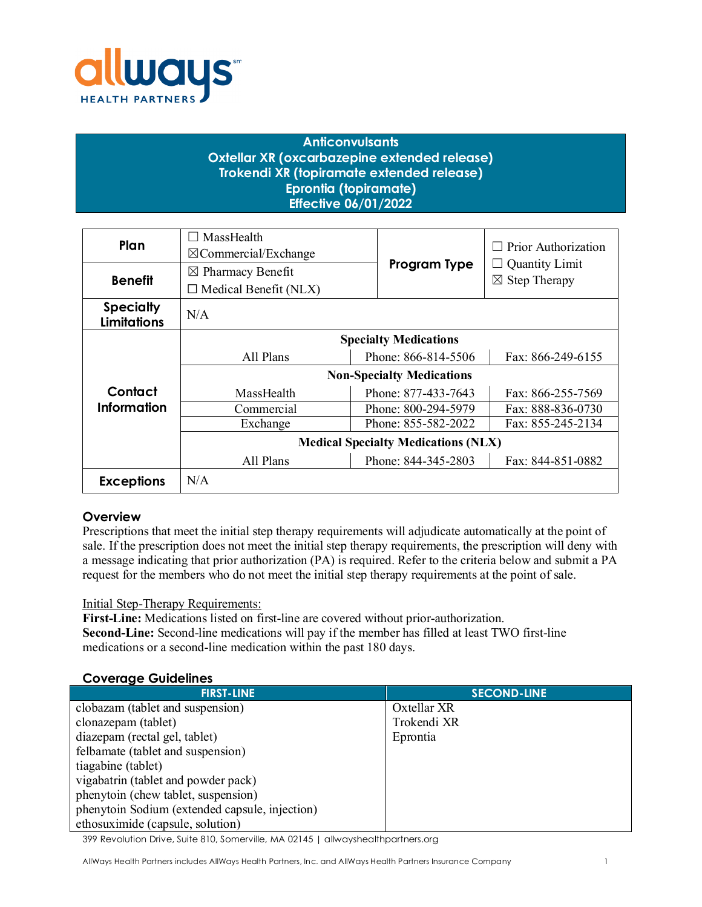

# **Anticonvulsants Oxtellar XR (oxcarbazepine extended release) Trokendi XR (topiramate extended release) Eprontia (topiramate) Effective 06/01/2022**

| Plan                                   | MassHealth<br>$\boxtimes$ Commercial/Exchange |                     | Prior Authorization                  |
|----------------------------------------|-----------------------------------------------|---------------------|--------------------------------------|
| <b>Benefit</b>                         | $\boxtimes$ Pharmacy Benefit                  | Program Type        | <b>Quantity Limit</b><br>$\boxtimes$ |
|                                        | $\Box$ Medical Benefit (NLX)                  |                     | <b>Step Therapy</b>                  |
| <b>Specialty</b><br><b>Limitations</b> | N/A                                           |                     |                                      |
|                                        | <b>Specialty Medications</b>                  |                     |                                      |
|                                        | All Plans                                     | Phone: 866-814-5506 | Fax: 866-249-6155                    |
|                                        | <b>Non-Specialty Medications</b>              |                     |                                      |
| Contact                                | MassHealth                                    | Phone: 877-433-7643 | Fax: 866-255-7569                    |
| Information                            | Commercial                                    | Phone: 800-294-5979 | Fax: 888-836-0730                    |
|                                        | Exchange                                      | Phone: 855-582-2022 | Fax: 855-245-2134                    |
|                                        | <b>Medical Specialty Medications (NLX)</b>    |                     |                                      |
|                                        | All Plans                                     | Phone: 844-345-2803 | Fax: 844-851-0882                    |
| <b>Exceptions</b>                      | N/A                                           |                     |                                      |

# **Overview**

Prescriptions that meet the initial step therapy requirements will adjudicate automatically at the point of sale. If the prescription does not meet the initial step therapy requirements, the prescription will deny with a message indicating that prior authorization (PA) is required. Refer to the criteria below and submit a PA request for the members who do not meet the initial step therapy requirements at the point of sale.

## Initial Step-Therapy Requirements:

**First-Line:** Medications listed on first-line are covered without prior-authorization. **Second-Line:** Second-line medications will pay if the member has filled at least TWO first-line medications or a second-line medication within the past 180 days.

#### 399 Revolution Drive, Suite 810, Somerville, MA 02145 | allwayshealthpartners.org **Coverage Guidelines FIRST-LINE SECOND-LINE** clobazam (tablet and suspension) clonazepam (tablet) diazepam (rectal gel, tablet) felbamate (tablet and suspension) tiagabine (tablet) vigabatrin (tablet and powder pack) phenytoin (chew tablet, suspension) phenytoin Sodium (extended capsule, injection) ethosuximide (capsule, solution) Oxtellar XR Trokendi XR Eprontia

AllWays Health Partners includes AllWays Health Partners, Inc. and AllWays Health Partners Insurance Company 1